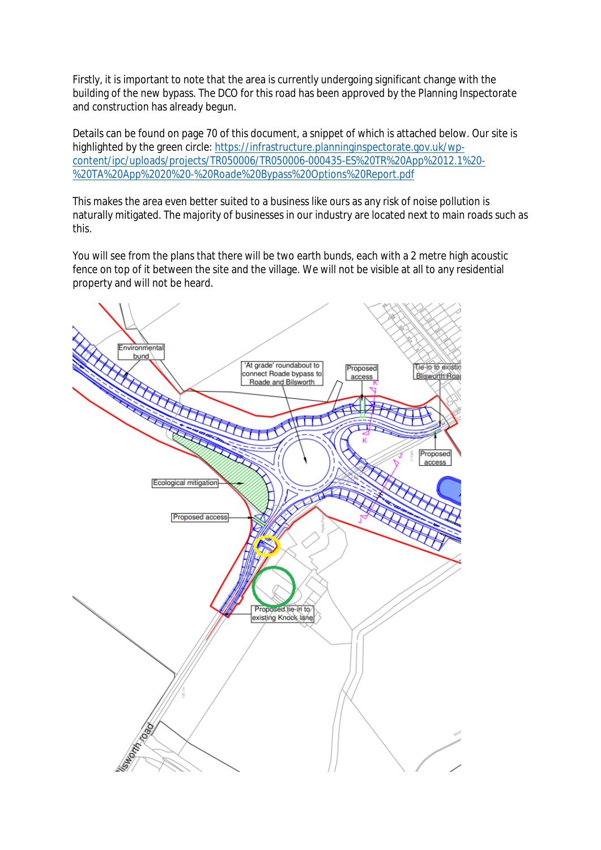Firstly, it is important to note that the area is currently undergoing significant change with the building of the new bypass. The DCO for this road has been approved by the Planning Inspectorate and construction has already begun.

Details can be found on page 70 of this document, a snippet of which is attached below. Our site is highlighted by the green circle: https://infrastructure.planninginspectorate.gov.uk/wpcontent/ipc/uploads/projects/TR050006/TR050006-000435-ES%20TR%20App%2012.1%20- %20TA%20App%2020%20-%20Roade%20Bypass%20Options%20Report.pdf

This makes the area even better suited to a business like ours as any risk of noise pollution is naturally mitigated. The majority of businesses in our industry are located next to main roads such as this.

You will see from the plans that there will be two earth bunds, each with a 2 metre high acoustic fence on top of it between the site and the village. We will not be visible at all to any residential property and will not be heard.